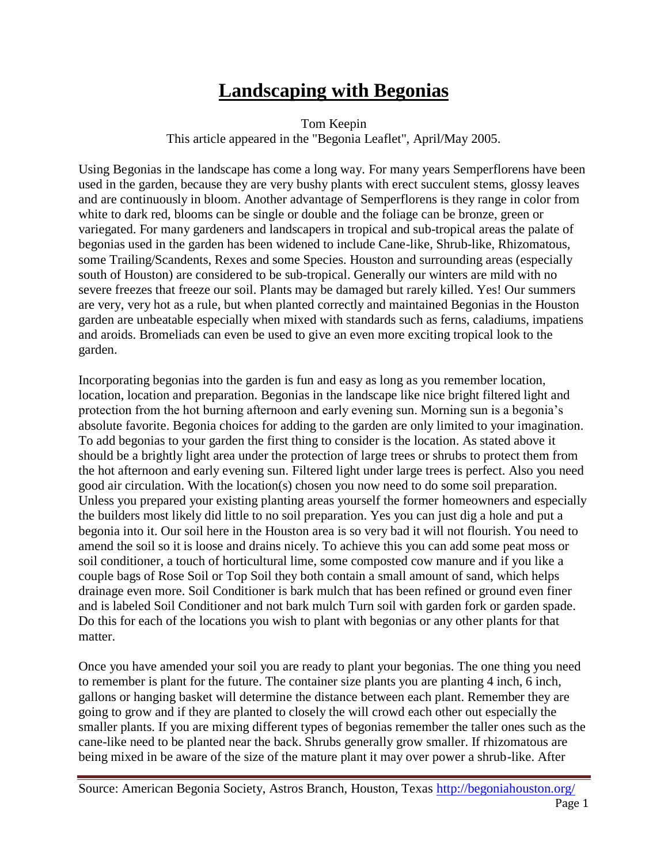# **Landscaping with Begonias**

Tom Keepin This article appeared in the "Begonia Leaflet", April/May 2005.

Using Begonias in the landscape has come a long way. For many years Semperflorens have been used in the garden, because they are very bushy plants with erect succulent stems, glossy leaves and are continuously in bloom. Another advantage of Semperflorens is they range in color from white to dark red, blooms can be single or double and the foliage can be bronze, green or variegated. For many gardeners and landscapers in tropical and sub-tropical areas the palate of begonias used in the garden has been widened to include Cane-like, Shrub-like, Rhizomatous, some Trailing/Scandents, Rexes and some Species. Houston and surrounding areas (especially south of Houston) are considered to be sub-tropical. Generally our winters are mild with no severe freezes that freeze our soil. Plants may be damaged but rarely killed. Yes! Our summers are very, very hot as a rule, but when planted correctly and maintained Begonias in the Houston garden are unbeatable especially when mixed with standards such as ferns, caladiums, impatiens and aroids. Bromeliads can even be used to give an even more exciting tropical look to the garden.

Incorporating begonias into the garden is fun and easy as long as you remember location, location, location and preparation. Begonias in the landscape like nice bright filtered light and protection from the hot burning afternoon and early evening sun. Morning sun is a begonia's absolute favorite. Begonia choices for adding to the garden are only limited to your imagination. To add begonias to your garden the first thing to consider is the location. As stated above it should be a brightly light area under the protection of large trees or shrubs to protect them from the hot afternoon and early evening sun. Filtered light under large trees is perfect. Also you need good air circulation. With the location(s) chosen you now need to do some soil preparation. Unless you prepared your existing planting areas yourself the former homeowners and especially the builders most likely did little to no soil preparation. Yes you can just dig a hole and put a begonia into it. Our soil here in the Houston area is so very bad it will not flourish. You need to amend the soil so it is loose and drains nicely. To achieve this you can add some peat moss or soil conditioner, a touch of horticultural lime, some composted cow manure and if you like a couple bags of Rose Soil or Top Soil they both contain a small amount of sand, which helps drainage even more. Soil Conditioner is bark mulch that has been refined or ground even finer and is labeled Soil Conditioner and not bark mulch Turn soil with garden fork or garden spade. Do this for each of the locations you wish to plant with begonias or any other plants for that matter.

Once you have amended your soil you are ready to plant your begonias. The one thing you need to remember is plant for the future. The container size plants you are planting 4 inch, 6 inch, gallons or hanging basket will determine the distance between each plant. Remember they are going to grow and if they are planted to closely the will crowd each other out especially the smaller plants. If you are mixing different types of begonias remember the taller ones such as the cane-like need to be planted near the back. Shrubs generally grow smaller. If rhizomatous are being mixed in be aware of the size of the mature plant it may over power a shrub-like. After

Source: American Begonia Society, Astros Branch, Houston, Texas<http://begoniahouston.org/> Page 1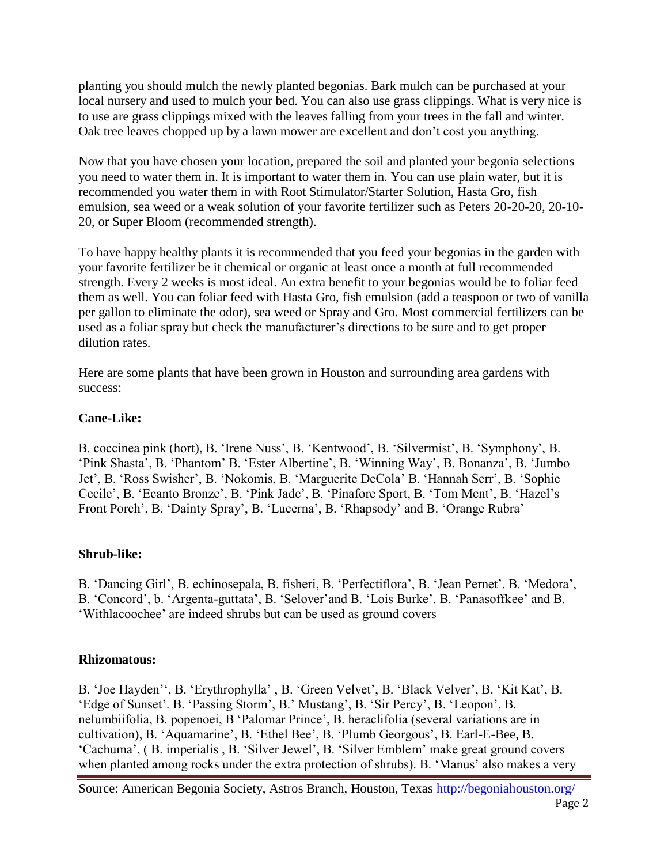planting you should mulch the newly planted begonias. Bark mulch can be purchased at your local nursery and used to mulch your bed. You can also use grass clippings. What is very nice is to use are grass clippings mixed with the leaves falling from your trees in the fall and winter. Oak tree leaves chopped up by a lawn mower are excellent and don't cost you anything.

Now that you have chosen your location, prepared the soil and planted your begonia selections you need to water them in. It is important to water them in. You can use plain water, but it is recommended you water them in with Root Stimulator/Starter Solution, Hasta Gro, fish emulsion, sea weed or a weak solution of your favorite fertilizer such as Peters 20-20-20, 20-10- 20, or Super Bloom (recommended strength).

To have happy healthy plants it is recommended that you feed your begonias in the garden with your favorite fertilizer be it chemical or organic at least once a month at full recommended strength. Every 2 weeks is most ideal. An extra benefit to your begonias would be to foliar feed them as well. You can foliar feed with Hasta Gro, fish emulsion (add a teaspoon or two of vanilla per gallon to eliminate the odor), sea weed or Spray and Gro. Most commercial fertilizers can be used as a foliar spray but check the manufacturer's directions to be sure and to get proper dilution rates.

Here are some plants that have been grown in Houston and surrounding area gardens with success:

### **Cane-Like:**

B. coccinea pink (hort), B. 'Irene Nuss', B. 'Kentwood', B. 'Silvermist', B. 'Symphony', B. 'Pink Shasta', B. 'Phantom' B. 'Ester Albertine', B. 'Winning Way', B. Bonanza', B. 'Jumbo Jet', B. 'Ross Swisher', B. 'Nokomis, B. 'Marguerite DeCola' B. 'Hannah Serr', B. 'Sophie Cecile', B. 'Ecanto Bronze', B. 'Pink Jade', B. 'Pinafore Sport, B. 'Tom Ment', B. 'Hazel's Front Porch', B. 'Dainty Spray', B. 'Lucerna', B. 'Rhapsody' and B. 'Orange Rubra'

## **Shrub-like:**

B. 'Dancing Girl', B. echinosepala, B. fisheri, B. 'Perfectiflora', B. 'Jean Pernet'. B. 'Medora', B. 'Concord', b. 'Argenta-guttata', B. 'Selover'and B. 'Lois Burke'. B. 'Panasoffkee' and B. 'Withlacoochee' are indeed shrubs but can be used as ground covers

#### **Rhizomatous:**

B. 'Joe Hayden'', B. 'Erythrophylla' , B. 'Green Velvet', B. 'Black Velver', B. 'Kit Kat', B. 'Edge of Sunset'. B. 'Passing Storm', B.' Mustang', B. 'Sir Percy', B. 'Leopon', B. nelumbiifolia, B. popenoei, B 'Palomar Prince', B. heraclifolia (several variations are in cultivation), B. 'Aquamarine', B. 'Ethel Bee', B. 'Plumb Georgous', B. Earl-E-Bee, B. 'Cachuma', ( B. imperialis , B. 'Silver Jewel', B. 'Silver Emblem' make great ground covers when planted among rocks under the extra protection of shrubs). B. 'Manus' also makes a very

Source: American Begonia Society, Astros Branch, Houston, Texas<http://begoniahouston.org/>